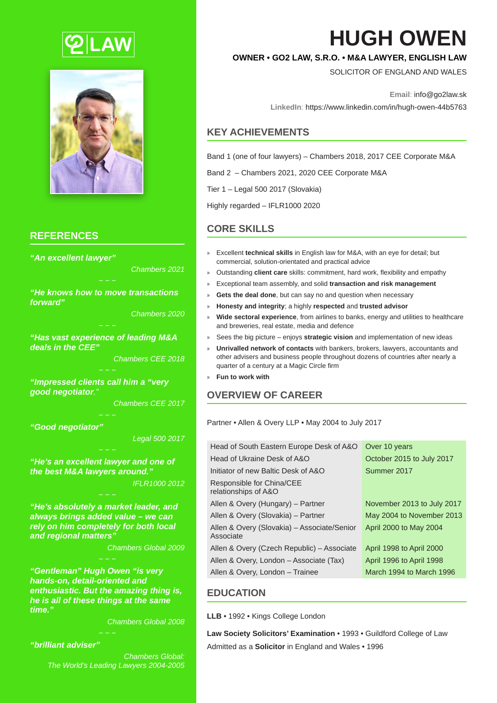



## **REFERENCES**

*"An excellent lawyer"*

*Chambers 2021*

*"He knows how to move transactions forward"*

*Chambers 2020*

*"Has vast experience of leading M&A deals in the CEE"*

*Chambers CEE 2018*

*"Impressed clients call him a "very good negotiator."*

*Chambers CEE 2017*

*"Good negotiator"*

*Legal 500 2017*

*"He's an excellent lawyer and one of the best M&A lawyers around." IFLR1000 2012*

*"He's absolutely a market leader, and always brings added value – we can rely on him completely for both local and regional matters"*

*Chambers Global 2009*

*"Gentleman" Hugh Owen "is very hands-on, detail-oriented and enthusiastic. But the amazing thing is, he is all of these things at the same time."*

*Chambers Global 2008*

#### *"brilliant adviser"*

*Chambers Global: The World's Leading Lawyers 2004-2005*

# **HUGH OWEN**

# **OWNER • GO2 LAW, S.R.O. • M&A LAWYER, ENGLISH LAW**

SOLICITOR OF ENGLAND AND WALES

**Email**: info@go2law.sk

**LinkedIn**: https://www.linkedin.com/in/hugh-owen-44b5763

## **KEY ACHIEVEMENTS**

Band 1 (one of four lawyers) – Chambers 2018, 2017 CEE Corporate M&A

Band 2 – Chambers 2021, 2020 CEE Corporate M&A

Tier 1 – Legal 500 2017 (Slovakia)

Highly regarded – IFLR1000 2020

# **CORE SKILLS**

- » Excellent **technical skills** in English law for M&A, with an eye for detail; but commercial, solution-orientated and practical advice
- » Outstanding **client care** skills: commitment, hard work, flexibility and empathy
- » Exceptional team assembly, and solid **transaction and risk management**
- Gets the deal done, but can say no and question when necessary
- » **Honesty and integrity**; a highly **respected** and **trusted advisor**
- » **Wide sectoral experience**, from airlines to banks, energy and utilities to healthcare and breweries, real estate, media and defence
- » Sees the big picture enjoys **strategic vision** and implementation of new ideas
- » **Unrivalled network of contacts** with bankers, brokers, lawyers, accountants and other advisers and business people throughout dozens of countries after nearly a quarter of a century at a Magic Circle firm
- » **Fun to work with**

## **OVERVIEW OF CAREER**

Partner • Allen & Overy LLP • May 2004 to July 2017

| Head of South Eastern Europe Desk of A&O                 | Over 10 years              |
|----------------------------------------------------------|----------------------------|
| Head of Ukraine Desk of A&O                              | October 2015 to July 2017  |
| Initiator of new Baltic Desk of A&O                      | Summer 2017                |
| Responsible for China/CEE<br>relationships of A&O        |                            |
| Allen & Overy (Hungary) - Partner                        | November 2013 to July 2017 |
| Allen & Overy (Slovakia) - Partner                       | May 2004 to November 2013  |
| Allen & Overy (Slovakia) – Associate/Senior<br>Associate | April 2000 to May 2004     |
| Allen & Overy (Czech Republic) – Associate               | April 1998 to April 2000   |
| Allen & Overy, London - Associate (Tax)                  | April 1996 to April 1998   |
| Allen & Overy, London - Trainee                          | March 1994 to March 1996   |

## **EDUCATION**

**LLB** • 1992 • Kings College London

**Law Society Solicitors' Examination** • 1993 • Guildford College of Law Admitted as a **Solicitor** in England and Wales • 1996